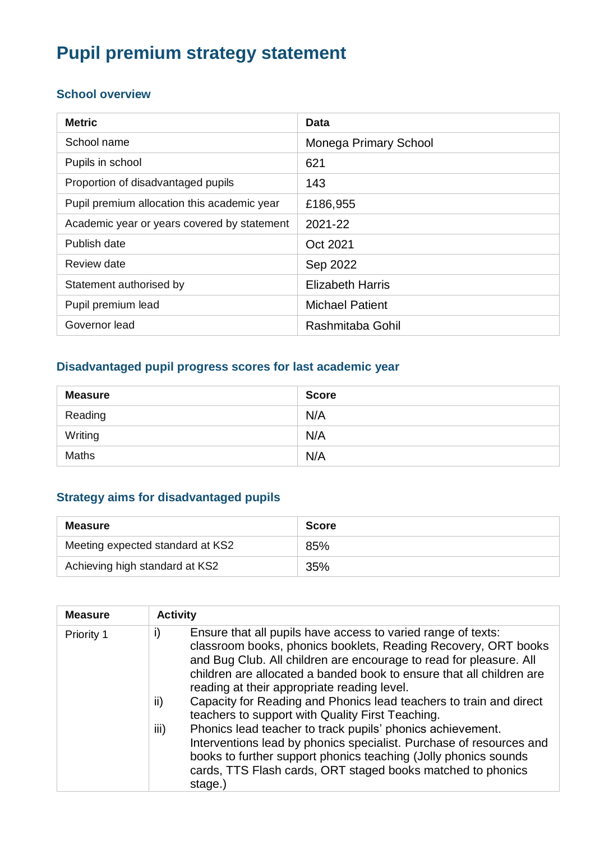# **Pupil premium strategy statement**

### **School overview**

| <b>Metric</b>                               | Data                    |
|---------------------------------------------|-------------------------|
| School name                                 | Monega Primary School   |
| Pupils in school                            | 621                     |
| Proportion of disadvantaged pupils          | 143                     |
| Pupil premium allocation this academic year | £186,955                |
| Academic year or years covered by statement | 2021-22                 |
| Publish date                                | Oct 2021                |
| Review date                                 | Sep 2022                |
| Statement authorised by                     | <b>Elizabeth Harris</b> |
| Pupil premium lead                          | <b>Michael Patient</b>  |
| Governor lead                               | Rashmitaba Gohil        |

### **Disadvantaged pupil progress scores for last academic year**

| <b>Measure</b> | <b>Score</b> |
|----------------|--------------|
| Reading        | N/A          |
| Writing        | N/A          |
| Maths          | N/A          |

### **Strategy aims for disadvantaged pupils**

| <b>Measure</b>                   | <b>Score</b> |
|----------------------------------|--------------|
| Meeting expected standard at KS2 | 85%          |
| Achieving high standard at KS2   | 35%          |

| <b>Measure</b> | <b>Activity</b>                                                                                                                                                                                                                                                                                                                                                                                                                                                                                                                                                                                                                                                                                                                                              |
|----------------|--------------------------------------------------------------------------------------------------------------------------------------------------------------------------------------------------------------------------------------------------------------------------------------------------------------------------------------------------------------------------------------------------------------------------------------------------------------------------------------------------------------------------------------------------------------------------------------------------------------------------------------------------------------------------------------------------------------------------------------------------------------|
| Priority 1     | i)<br>Ensure that all pupils have access to varied range of texts:<br>classroom books, phonics booklets, Reading Recovery, ORT books<br>and Bug Club. All children are encourage to read for pleasure. All<br>children are allocated a banded book to ensure that all children are<br>reading at their appropriate reading level.<br>Capacity for Reading and Phonics lead teachers to train and direct<br>ii)<br>teachers to support with Quality First Teaching.<br>iii)<br>Phonics lead teacher to track pupils' phonics achievement.<br>Interventions lead by phonics specialist. Purchase of resources and<br>books to further support phonics teaching (Jolly phonics sounds<br>cards, TTS Flash cards, ORT staged books matched to phonics<br>stage.) |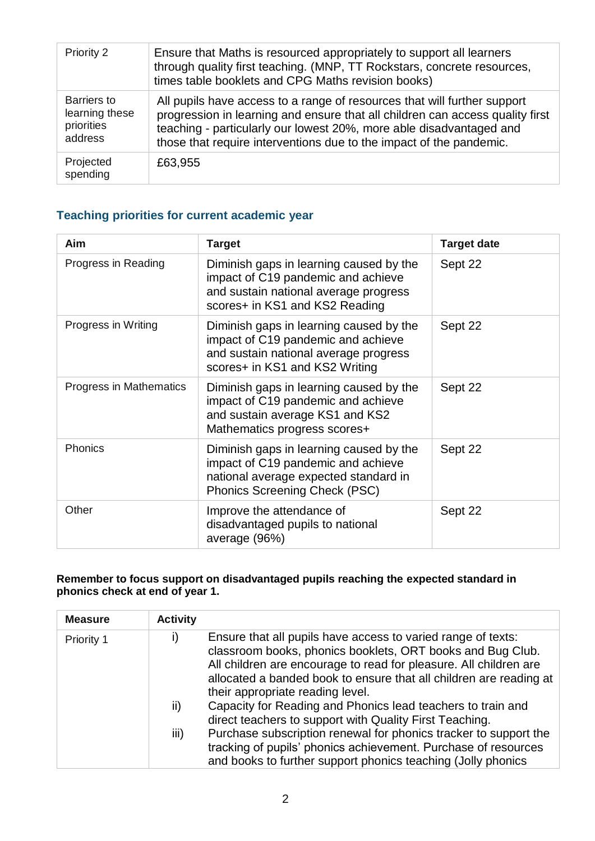| Priority 2                                             | Ensure that Maths is resourced appropriately to support all learners<br>through quality first teaching. (MNP, TT Rockstars, concrete resources,<br>times table booklets and CPG Maths revision books)                                                                                                   |
|--------------------------------------------------------|---------------------------------------------------------------------------------------------------------------------------------------------------------------------------------------------------------------------------------------------------------------------------------------------------------|
| Barriers to<br>learning these<br>priorities<br>address | All pupils have access to a range of resources that will further support<br>progression in learning and ensure that all children can access quality first<br>teaching - particularly our lowest 20%, more able disadvantaged and<br>those that require interventions due to the impact of the pandemic. |
| Projected<br>spending                                  | £63,955                                                                                                                                                                                                                                                                                                 |

### **Teaching priorities for current academic year**

| Aim                     | <b>Target</b>                                                                                                                                                  | <b>Target date</b> |
|-------------------------|----------------------------------------------------------------------------------------------------------------------------------------------------------------|--------------------|
| Progress in Reading     | Diminish gaps in learning caused by the<br>impact of C19 pandemic and achieve<br>and sustain national average progress<br>scores+ in KS1 and KS2 Reading       | Sept 22            |
| Progress in Writing     | Diminish gaps in learning caused by the<br>impact of C19 pandemic and achieve<br>and sustain national average progress<br>scores+ in KS1 and KS2 Writing       | Sept 22            |
| Progress in Mathematics | Diminish gaps in learning caused by the<br>impact of C19 pandemic and achieve<br>and sustain average KS1 and KS2<br>Mathematics progress scores+               | Sept 22            |
| Phonics                 | Diminish gaps in learning caused by the<br>impact of C19 pandemic and achieve<br>national average expected standard in<br><b>Phonics Screening Check (PSC)</b> | Sept 22            |
| Other                   | Improve the attendance of<br>disadvantaged pupils to national<br>average (96%)                                                                                 | Sept 22            |

#### **Remember to focus support on disadvantaged pupils reaching the expected standard in phonics check at end of year 1.**

| <b>Measure</b> | <b>Activity</b> |                                                                                                                                                                                                                                                                                                           |
|----------------|-----------------|-----------------------------------------------------------------------------------------------------------------------------------------------------------------------------------------------------------------------------------------------------------------------------------------------------------|
| Priority 1     |                 | Ensure that all pupils have access to varied range of texts:<br>classroom books, phonics booklets, ORT books and Bug Club.<br>All children are encourage to read for pleasure. All children are<br>allocated a banded book to ensure that all children are reading at<br>their appropriate reading level. |
|                | ii)             | Capacity for Reading and Phonics lead teachers to train and<br>direct teachers to support with Quality First Teaching.                                                                                                                                                                                    |
|                | iii)            | Purchase subscription renewal for phonics tracker to support the<br>tracking of pupils' phonics achievement. Purchase of resources<br>and books to further support phonics teaching (Jolly phonics                                                                                                        |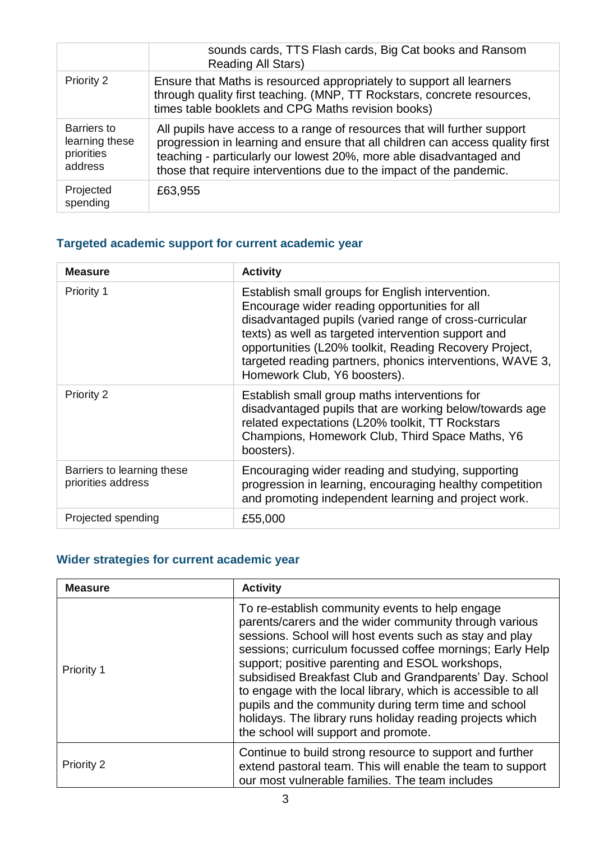|                                                               | sounds cards, TTS Flash cards, Big Cat books and Ransom<br><b>Reading All Stars)</b>                                                                                                                                                                                                                    |
|---------------------------------------------------------------|---------------------------------------------------------------------------------------------------------------------------------------------------------------------------------------------------------------------------------------------------------------------------------------------------------|
| Priority 2                                                    | Ensure that Maths is resourced appropriately to support all learners<br>through quality first teaching. (MNP, TT Rockstars, concrete resources,<br>times table booklets and CPG Maths revision books)                                                                                                   |
| <b>Barriers to</b><br>learning these<br>priorities<br>address | All pupils have access to a range of resources that will further support<br>progression in learning and ensure that all children can access quality first<br>teaching - particularly our lowest 20%, more able disadvantaged and<br>those that require interventions due to the impact of the pandemic. |
| Projected<br>spending                                         | £63,955                                                                                                                                                                                                                                                                                                 |

## **Targeted academic support for current academic year**

| <b>Measure</b>                                   | <b>Activity</b>                                                                                                                                                                                                                                                                                                                                                           |
|--------------------------------------------------|---------------------------------------------------------------------------------------------------------------------------------------------------------------------------------------------------------------------------------------------------------------------------------------------------------------------------------------------------------------------------|
| Priority 1                                       | Establish small groups for English intervention.<br>Encourage wider reading opportunities for all<br>disadvantaged pupils (varied range of cross-curricular<br>texts) as well as targeted intervention support and<br>opportunities (L20% toolkit, Reading Recovery Project,<br>targeted reading partners, phonics interventions, WAVE 3,<br>Homework Club, Y6 boosters). |
| Priority 2                                       | Establish small group maths interventions for<br>disadvantaged pupils that are working below/towards age<br>related expectations (L20% toolkit, TT Rockstars<br>Champions, Homework Club, Third Space Maths, Y6<br>boosters).                                                                                                                                             |
| Barriers to learning these<br>priorities address | Encouraging wider reading and studying, supporting<br>progression in learning, encouraging healthy competition<br>and promoting independent learning and project work.                                                                                                                                                                                                    |
| Projected spending                               | £55,000                                                                                                                                                                                                                                                                                                                                                                   |

## **Wider strategies for current academic year**

| <b>Measure</b>    | <b>Activity</b>                                                                                                                                                                                                                                                                                                                                                                                                                                                                                                                                                              |  |
|-------------------|------------------------------------------------------------------------------------------------------------------------------------------------------------------------------------------------------------------------------------------------------------------------------------------------------------------------------------------------------------------------------------------------------------------------------------------------------------------------------------------------------------------------------------------------------------------------------|--|
| Priority 1        | To re-establish community events to help engage<br>parents/carers and the wider community through various<br>sessions. School will host events such as stay and play<br>sessions; curriculum focussed coffee mornings; Early Help<br>support; positive parenting and ESOL workshops,<br>subsidised Breakfast Club and Grandparents' Day. School<br>to engage with the local library, which is accessible to all<br>pupils and the community during term time and school<br>holidays. The library runs holiday reading projects which<br>the school will support and promote. |  |
| <b>Priority 2</b> | Continue to build strong resource to support and further<br>extend pastoral team. This will enable the team to support<br>our most vulnerable families. The team includes                                                                                                                                                                                                                                                                                                                                                                                                    |  |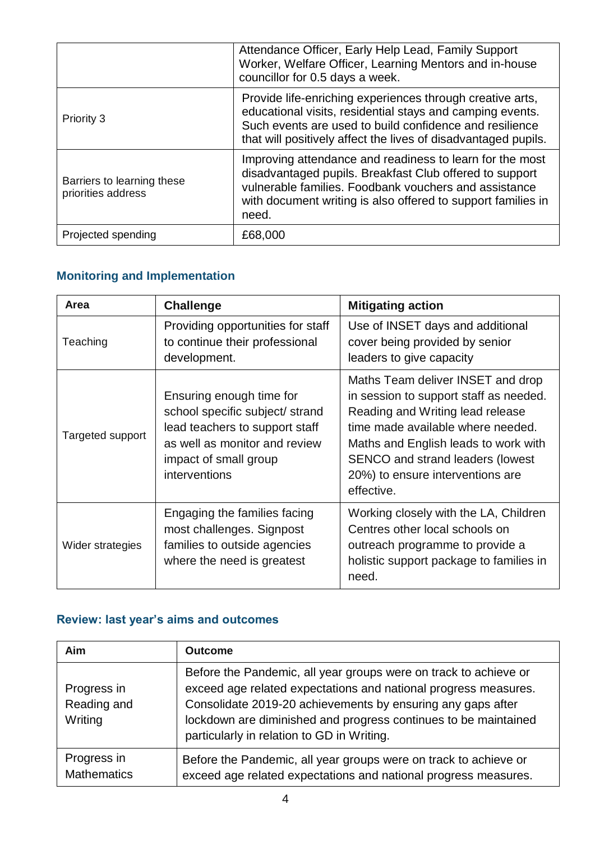|                                                  | Attendance Officer, Early Help Lead, Family Support<br>Worker, Welfare Officer, Learning Mentors and in-house<br>councillor for 0.5 days a week.                                                                                                      |  |
|--------------------------------------------------|-------------------------------------------------------------------------------------------------------------------------------------------------------------------------------------------------------------------------------------------------------|--|
| Priority 3                                       | Provide life-enriching experiences through creative arts,<br>educational visits, residential stays and camping events.<br>Such events are used to build confidence and resilience<br>that will positively affect the lives of disadvantaged pupils.   |  |
| Barriers to learning these<br>priorities address | Improving attendance and readiness to learn for the most<br>disadvantaged pupils. Breakfast Club offered to support<br>vulnerable families. Foodbank vouchers and assistance<br>with document writing is also offered to support families in<br>need. |  |
| Projected spending                               | £68,000                                                                                                                                                                                                                                               |  |

## **Monitoring and Implementation**

| Area             | <b>Challenge</b>                                                                                                                                                         | <b>Mitigating action</b>                                                                                                                                                                                                                                                                  |
|------------------|--------------------------------------------------------------------------------------------------------------------------------------------------------------------------|-------------------------------------------------------------------------------------------------------------------------------------------------------------------------------------------------------------------------------------------------------------------------------------------|
| Teaching         | Providing opportunities for staff<br>to continue their professional<br>development.                                                                                      | Use of INSET days and additional<br>cover being provided by senior<br>leaders to give capacity                                                                                                                                                                                            |
| Targeted support | Ensuring enough time for<br>school specific subject/ strand<br>lead teachers to support staff<br>as well as monitor and review<br>impact of small group<br>interventions | Maths Team deliver INSET and drop<br>in session to support staff as needed.<br>Reading and Writing lead release<br>time made available where needed.<br>Maths and English leads to work with<br><b>SENCO and strand leaders (lowest</b><br>20%) to ensure interventions are<br>effective. |
| Wider strategies | Engaging the families facing<br>most challenges. Signpost<br>families to outside agencies<br>where the need is greatest                                                  | Working closely with the LA, Children<br>Centres other local schools on<br>outreach programme to provide a<br>holistic support package to families in<br>need.                                                                                                                            |

## **Review: last year's aims and outcomes**

| Aim                                   | <b>Outcome</b>                                                                                                                                                                                                                                                                                                      |
|---------------------------------------|---------------------------------------------------------------------------------------------------------------------------------------------------------------------------------------------------------------------------------------------------------------------------------------------------------------------|
| Progress in<br>Reading and<br>Writing | Before the Pandemic, all year groups were on track to achieve or<br>exceed age related expectations and national progress measures.<br>Consolidate 2019-20 achievements by ensuring any gaps after<br>lockdown are diminished and progress continues to be maintained<br>particularly in relation to GD in Writing. |
| Progress in<br><b>Mathematics</b>     | Before the Pandemic, all year groups were on track to achieve or<br>exceed age related expectations and national progress measures.                                                                                                                                                                                 |